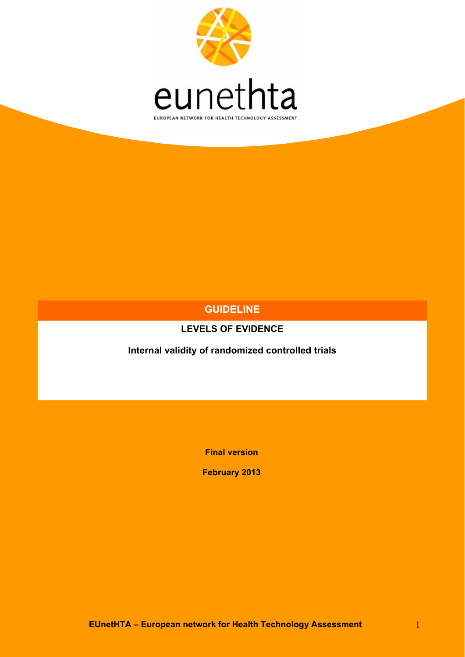

## **GUIDELINE**

## **LEVELS OF EVIDENCE**

**Internal validity of randomized controlled trials** 

**Final version** 

**February 2013**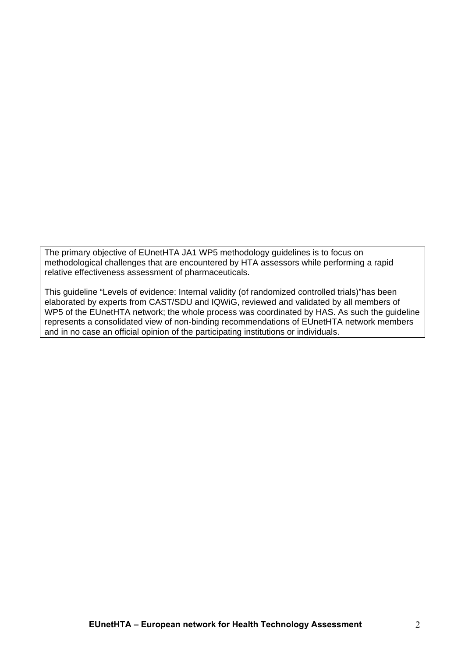The primary objective of EUnetHTA JA1 WP5 methodology guidelines is to focus on methodological challenges that are encountered by HTA assessors while performing a rapid relative effectiveness assessment of pharmaceuticals.

This guideline "Levels of evidence: Internal validity (of randomized controlled trials)"has been elaborated by experts from CAST/SDU and IQWiG, reviewed and validated by all members of WP5 of the EUnetHTA network; the whole process was coordinated by HAS. As such the guideline represents a consolidated view of non-binding recommendations of EUnetHTA network members and in no case an official opinion of the participating institutions or individuals.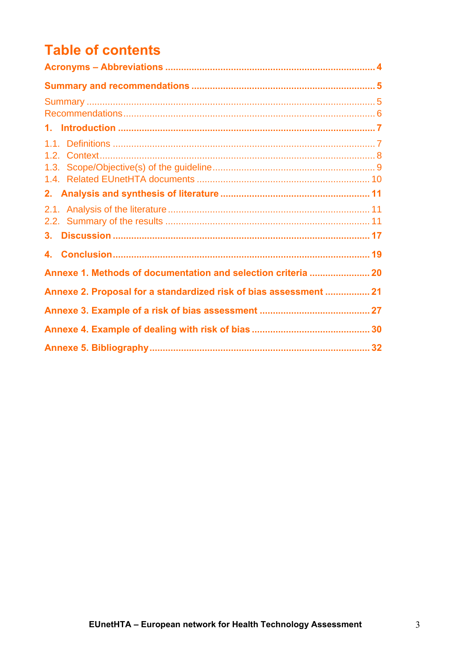# **Table of contents**

| 3.                                                                |  |
|-------------------------------------------------------------------|--|
|                                                                   |  |
|                                                                   |  |
| Annexe 2. Proposal for a standardized risk of bias assessment  21 |  |
|                                                                   |  |
|                                                                   |  |
|                                                                   |  |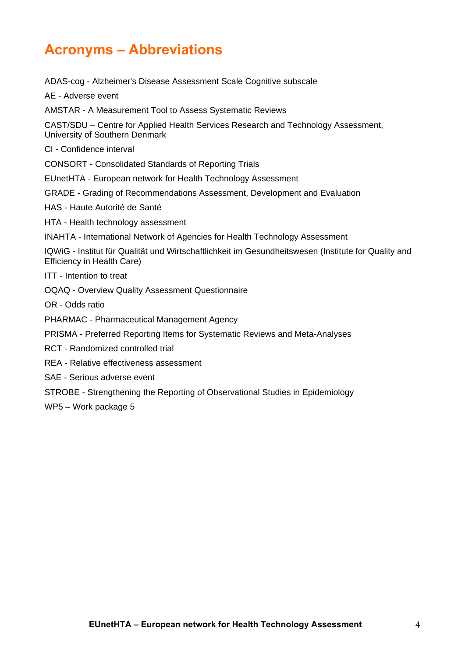# <span id="page-3-0"></span>**Acronyms – Abbreviations**

ADAS-cog - Alzheimer's Disease Assessment Scale Cognitive subscale AE - Adverse event AMSTAR - A Measurement Tool to Assess Systematic Reviews CAST/SDU – Centre for Applied Health Services Research and Technology Assessment, University of Southern Denmark CI - Confidence interval CONSORT - Consolidated Standards of Reporting Trials EUnetHTA - European network for Health Technology Assessment GRADE - Grading of Recommendations Assessment, Development and Evaluation HAS - Haute Autorité de Santé HTA - Health technology assessment INAHTA - International Network of Agencies for Health Technology Assessment IQWiG - Institut für Qualität und Wirtschaftlichkeit im Gesundheitswesen (Institute for Quality and Efficiency in Health Care) ITT - Intention to treat OQAQ - Overview Quality Assessment Questionnaire OR - Odds ratio PHARMAC - Pharmaceutical Management Agency PRISMA - Preferred Reporting Items for Systematic Reviews and Meta-Analyses RCT - Randomized controlled trial REA - Relative effectiveness assessment SAE - Serious adverse event STROBE - Strengthening the Reporting of Observational Studies in Epidemiology WP5 – Work package 5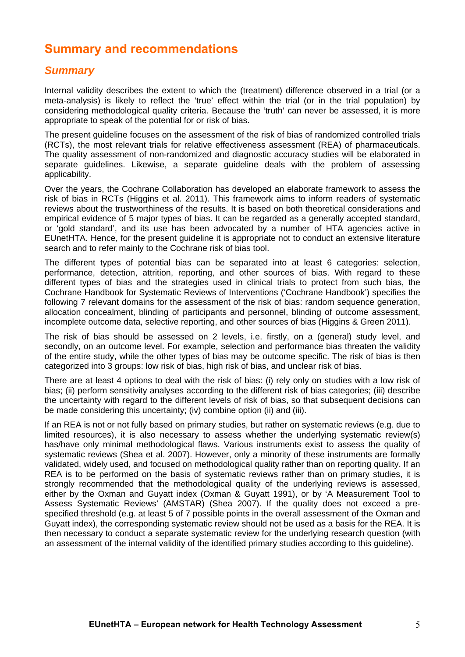## <span id="page-4-0"></span>**Summary and recommendations**

### <span id="page-4-1"></span>*Summary*

Internal validity describes the extent to which the (treatment) difference observed in a trial (or a meta-analysis) is likely to reflect the 'true' effect within the trial (or in the trial population) by considering methodological quality criteria. Because the 'truth' can never be assessed, it is more appropriate to speak of the potential for or risk of bias.

The present guideline focuses on the assessment of the risk of bias of randomized controlled trials (RCTs), the most relevant trials for relative effectiveness assessment (REA) of pharmaceuticals. The quality assessment of non-randomized and diagnostic accuracy studies will be elaborated in separate guidelines. Likewise, a separate guideline deals with the problem of assessing applicability.

Over the years, the Cochrane Collaboration has developed an elaborate framework to assess the risk of bias in RCTs (Higgins et al. 2011). This framework aims to inform readers of systematic reviews about the trustworthiness of the results. It is based on both theoretical considerations and empirical evidence of 5 major types of bias. It can be regarded as a generally accepted standard, or 'gold standard', and its use has been advocated by a number of HTA agencies active in EUnetHTA. Hence, for the present guideline it is appropriate not to conduct an extensive literature search and to refer mainly to the Cochrane risk of bias tool.

The different types of potential bias can be separated into at least 6 categories: selection, performance, detection, attrition, reporting, and other sources of bias. With regard to these different types of bias and the strategies used in clinical trials to protect from such bias, the Cochrane Handbook for Systematic Reviews of Interventions ('Cochrane Handbook') specifies the following 7 relevant domains for the assessment of the risk of bias: random sequence generation, allocation concealment, blinding of participants and personnel, blinding of outcome assessment, incomplete outcome data, selective reporting, and other sources of bias (Higgins & Green 2011).

The risk of bias should be assessed on 2 levels, i.e. firstly, on a (general) study level, and secondly, on an outcome level. For example, selection and performance bias threaten the validity of the entire study, while the other types of bias may be outcome specific. The risk of bias is then categorized into 3 groups: low risk of bias, high risk of bias, and unclear risk of bias.

There are at least 4 options to deal with the risk of bias: (i) rely only on studies with a low risk of bias; (ii) perform sensitivity analyses according to the different risk of bias categories; (iii) describe the uncertainty with regard to the different levels of risk of bias, so that subsequent decisions can be made considering this uncertainty; (iv) combine option (ii) and (iii).

If an REA is not or not fully based on primary studies, but rather on systematic reviews (e.g. due to limited resources), it is also necessary to assess whether the underlying systematic review(s) has/have only minimal methodological flaws. Various instruments exist to assess the quality of systematic reviews (Shea et al. 2007). However, only a minority of these instruments are formally validated, widely used, and focused on methodological quality rather than on reporting quality. If an REA is to be performed on the basis of systematic reviews rather than on primary studies, it is strongly recommended that the methodological quality of the underlying reviews is assessed, either by the Oxman and Guyatt index (Oxman & Guyatt 1991), or by 'A Measurement Tool to Assess Systematic Reviews' (AMSTAR) (Shea 2007). If the quality does not exceed a prespecified threshold (e.g. at least 5 of 7 possible points in the overall assessment of the Oxman and Guyatt index), the corresponding systematic review should not be used as a basis for the REA. It is then necessary to conduct a separate systematic review for the underlying research question (with an assessment of the internal validity of the identified primary studies according to this guideline).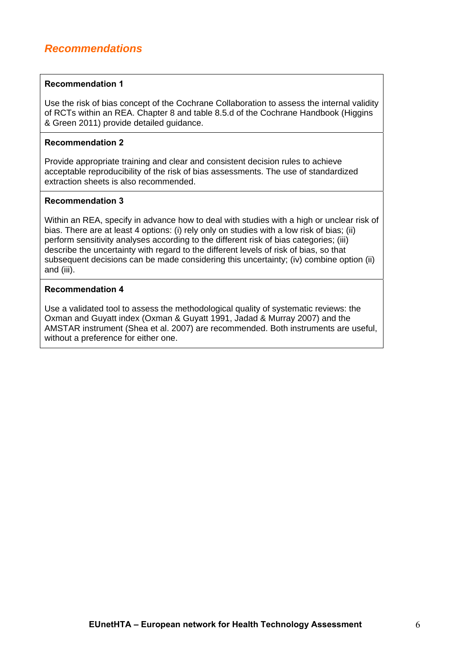### <span id="page-5-0"></span>**Recommendation 1**

Use the risk of bias concept of the Cochrane Collaboration to assess the internal validity of RCTs within an REA. Chapter 8 and table 8.5.d of the Cochrane Handbook (Higgins & Green 2011) provide detailed guidance.

### **Recommendation 2**

Provide appropriate training and clear and consistent decision rules to achieve acceptable reproducibility of the risk of bias assessments. The use of standardized extraction sheets is also recommended.

### **Recommendation 3**

Within an REA, specify in advance how to deal with studies with a high or unclear risk of bias. There are at least 4 options: (i) rely only on studies with a low risk of bias; (ii) perform sensitivity analyses according to the different risk of bias categories; (iii) describe the uncertainty with regard to the different levels of risk of bias, so that subsequent decisions can be made considering this uncertainty; (iv) combine option (ii) and (iii).

### **Recommendation 4**

Use a validated tool to assess the methodological quality of systematic reviews: the Oxman and Guyatt index (Oxman & Guyatt 1991, Jadad & Murray 2007) and the AMSTAR instrument (Shea et al. 2007) are recommended. Both instruments are useful, without a preference for either one.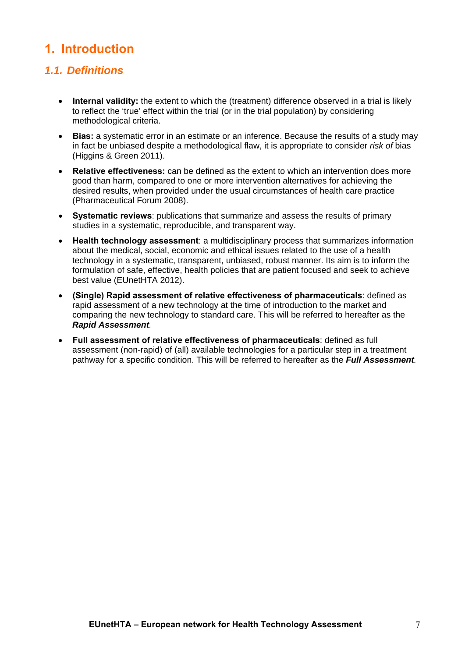## <span id="page-6-0"></span>**1. Introduction**

## <span id="page-6-1"></span>*1.1. Definitions*

- **Internal validity:** the extent to which the (treatment) difference observed in a trial is likely to reflect the 'true' effect within the trial (or in the trial population) by considering methodological criteria.
- **Bias:** a systematic error in an estimate or an inference. Because the results of a study may in fact be unbiased despite a methodological flaw, it is appropriate to consider *risk of* bias (Higgins & Green 2011).
- **Relative effectiveness:** can be defined as the extent to which an intervention does more good than harm, compared to one or more intervention alternatives for achieving the desired results, when provided under the usual circumstances of health care practice (Pharmaceutical Forum 2008).
- **Systematic reviews**: publications that summarize and assess the results of primary studies in a systematic, reproducible, and transparent way.
- **Health technology assessment**: a multidisciplinary process that summarizes information about the medical, social, economic and ethical issues related to the use of a health technology in a systematic, transparent, unbiased, robust manner. Its aim is to inform the formulation of safe, effective, health policies that are patient focused and seek to achieve best value (EUnetHTA 2012).
- **(Single) Rapid assessment of relative effectiveness of pharmaceuticals**: defined as rapid assessment of a new technology at the time of introduction to the market and comparing the new technology to standard care. This will be referred to hereafter as the *Rapid Assessment.*
- **Full assessment of relative effectiveness of pharmaceuticals**: defined as full assessment (non-rapid) of (all) available technologies for a particular step in a treatment pathway for a specific condition. This will be referred to hereafter as the *Full Assessment.*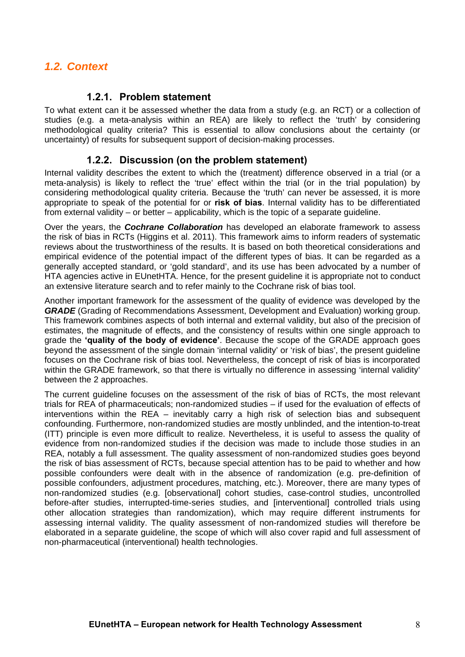## <span id="page-7-0"></span>*1.2. Context*

### **1.2.1. Problem statement**

To what extent can it be assessed whether the data from a study (e.g. an RCT) or a collection of studies (e.g. a meta-analysis within an REA) are likely to reflect the 'truth' by considering methodological quality criteria? This is essential to allow conclusions about the certainty (or uncertainty) of results for subsequent support of decision-making processes.

### **1.2.2. Discussion (on the problem statement)**

Internal validity describes the extent to which the (treatment) difference observed in a trial (or a meta-analysis) is likely to reflect the 'true' effect within the trial (or in the trial population) by considering methodological quality criteria. Because the 'truth' can never be assessed, it is more appropriate to speak of the potential for or **risk of bias**. Internal validity has to be differentiated from external validity – or better – applicability, which is the topic of a separate guideline.

Over the years, the *Cochrane Collaboration* has developed an elaborate framework to assess the risk of bias in RCTs (Higgins et al. 2011). This framework aims to inform readers of systematic reviews about the trustworthiness of the results. It is based on both theoretical considerations and empirical evidence of the potential impact of the different types of bias. It can be regarded as a generally accepted standard, or 'gold standard', and its use has been advocated by a number of HTA agencies active in EUnetHTA. Hence, for the present guideline it is appropriate not to conduct an extensive literature search and to refer mainly to the Cochrane risk of bias tool.

Another important framework for the assessment of the quality of evidence was developed by the *GRADE* (Grading of Recommendations Assessment, Development and Evaluation) working group. This framework combines aspects of both internal and external validity, but also of the precision of estimates, the magnitude of effects, and the consistency of results within one single approach to grade the **'quality of the body of evidence'**. Because the scope of the GRADE approach goes beyond the assessment of the single domain 'internal validity' or 'risk of bias', the present guideline focuses on the Cochrane risk of bias tool. Nevertheless, the concept of risk of bias is incorporated within the GRADE framework, so that there is virtually no difference in assessing 'internal validity' between the 2 approaches.

The current guideline focuses on the assessment of the risk of bias of RCTs, the most relevant trials for REA of pharmaceuticals; non-randomized studies – if used for the evaluation of effects of interventions within the REA – inevitably carry a high risk of selection bias and subsequent confounding. Furthermore, non-randomized studies are mostly unblinded, and the intention-to-treat (ITT) principle is even more difficult to realize. Nevertheless, it is useful to assess the quality of evidence from non-randomized studies if the decision was made to include those studies in an REA, notably a full assessment. The quality assessment of non-randomized studies goes beyond the risk of bias assessment of RCTs, because special attention has to be paid to whether and how possible confounders were dealt with in the absence of randomization (e.g. pre-definition of possible confounders, adjustment procedures, matching, etc.). Moreover, there are many types of non-randomized studies (e.g. [observational] cohort studies, case-control studies, uncontrolled before-after studies, interrupted-time-series studies, and [interventional] controlled trials using other allocation strategies than randomization), which may require different instruments for assessing internal validity. The quality assessment of non-randomized studies will therefore be elaborated in a separate guideline, the scope of which will also cover rapid and full assessment of non-pharmaceutical (interventional) health technologies.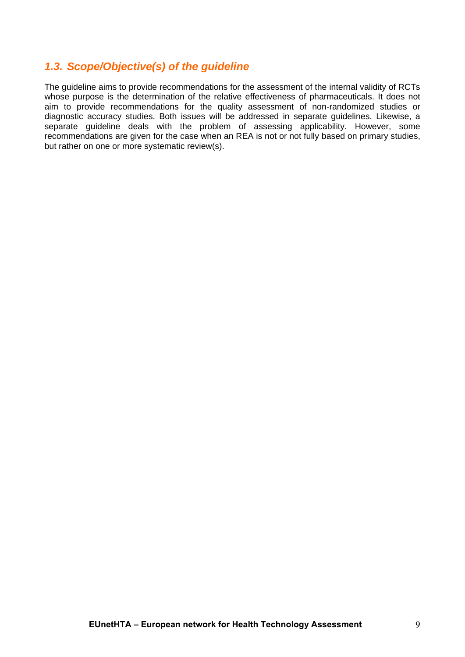## <span id="page-8-0"></span>*1.3. Scope/Objective(s) of the guideline*

The guideline aims to provide recommendations for the assessment of the internal validity of RCTs whose purpose is the determination of the relative effectiveness of pharmaceuticals. It does not aim to provide recommendations for the quality assessment of non-randomized studies or diagnostic accuracy studies. Both issues will be addressed in separate guidelines. Likewise, a separate guideline deals with the problem of assessing applicability. However, some recommendations are given for the case when an REA is not or not fully based on primary studies, but rather on one or more systematic review(s).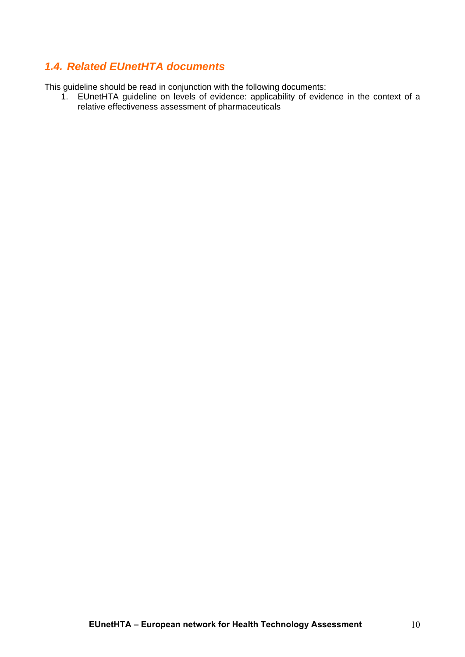## <span id="page-9-0"></span>*1.4. Related EUnetHTA documents*

This guideline should be read in conjunction with the following documents:

1. EUnetHTA guideline on levels of evidence: applicability of evidence in the context of a relative effectiveness assessment of pharmaceuticals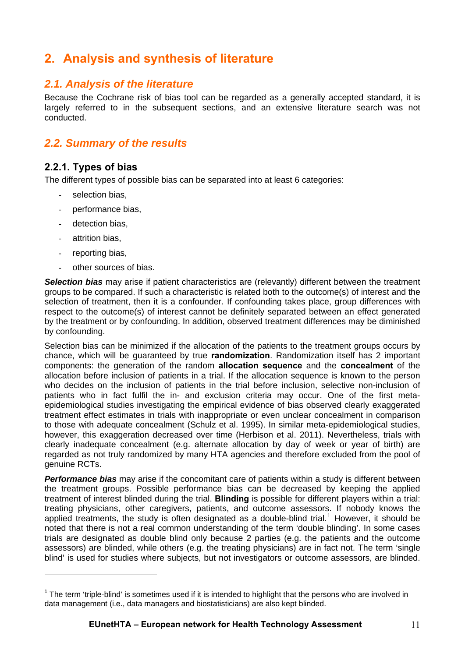## <span id="page-10-0"></span>**2. Analysis and synthesis of literature**

## <span id="page-10-1"></span>*2.1. Analysis of the literature*

Because the Cochrane risk of bias tool can be regarded as a generally accepted standard, it is largely referred to in the subsequent sections, and an extensive literature search was not conducted.

## <span id="page-10-2"></span>*2.2. Summary of the results*

## **2.2.1. Types of bias**

The different types of possible bias can be separated into at least 6 categories:

- selection bias.
- performance bias,
- detection bias.
- attrition bias,

1

- reporting bias,
- other sources of bias.

**Selection bias** may arise if patient characteristics are (relevantly) different between the treatment groups to be compared. If such a characteristic is related both to the outcome(s) of interest and the selection of treatment, then it is a confounder. If confounding takes place, group differences with respect to the outcome(s) of interest cannot be definitely separated between an effect generated by the treatment or by confounding. In addition, observed treatment differences may be diminished by confounding.

Selection bias can be minimized if the allocation of the patients to the treatment groups occurs by chance, which will be guaranteed by true **randomization**. Randomization itself has 2 important components: the generation of the random **allocation sequence** and the **concealment** of the allocation before inclusion of patients in a trial. If the allocation sequence is known to the person who decides on the inclusion of patients in the trial before inclusion, selective non-inclusion of patients who in fact fulfil the in- and exclusion criteria may occur. One of the first metaepidemiological studies investigating the empirical evidence of bias observed clearly exaggerated treatment effect estimates in trials with inappropriate or even unclear concealment in comparison to those with adequate concealment (Schulz et al. 1995). In similar meta-epidemiological studies, however, this exaggeration decreased over time (Herbison et al. 2011). Nevertheless, trials with clearly inadequate concealment (e.g. alternate allocation by day of week or year of birth) are regarded as not truly randomized by many HTA agencies and therefore excluded from the pool of genuine RCTs.

*Performance bias* may arise if the concomitant care of patients within a study is different between the treatment groups. Possible performance bias can be decreased by keeping the applied treatment of interest blinded during the trial. **Blinding** is possible for different players within a trial: treating physicians, other caregivers, patients, and outcome assessors. If nobody knows the applied treatments, the study is often designated as a double-blind trial.<sup>[1](#page-10-3)</sup> However, it should be noted that there is not a real common understanding of the term 'double blinding'. In some cases trials are designated as double blind only because 2 parties (e.g. the patients and the outcome assessors) are blinded, while others (e.g. the treating physicians) are in fact not. The term 'single blind' is used for studies where subjects, but not investigators or outcome assessors, are blinded.

<span id="page-10-3"></span> $1$  The term 'triple-blind' is sometimes used if it is intended to highlight that the persons who are involved in data management (i.e., data managers and biostatisticians) are also kept blinded.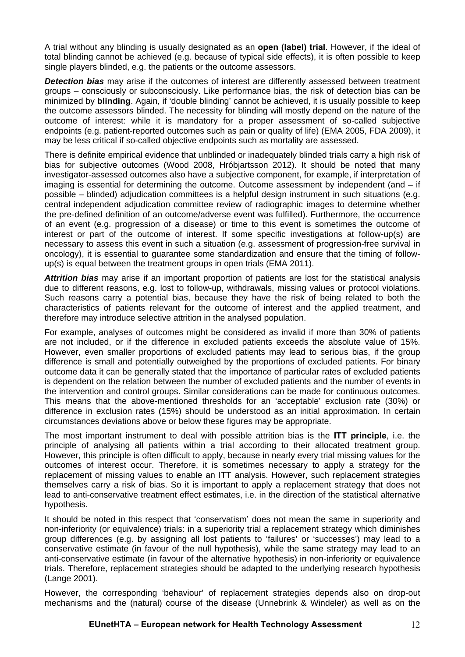A trial without any blinding is usually designated as an **open (label) trial**. However, if the ideal of total blinding cannot be achieved (e.g. because of typical side effects), it is often possible to keep single players blinded, e.g. the patients or the outcome assessors.

*Detection bias* may arise if the outcomes of interest are differently assessed between treatment groups – consciously or subconsciously. Like performance bias, the risk of detection bias can be minimized by **blinding**. Again, if 'double blinding' cannot be achieved, it is usually possible to keep the outcome assessors blinded. The necessity for blinding will mostly depend on the nature of the outcome of interest: while it is mandatory for a proper assessment of so-called subjective endpoints (e.g. patient-reported outcomes such as pain or quality of life) (EMA 2005, FDA 2009), it may be less critical if so-called objective endpoints such as mortality are assessed.

There is definite empirical evidence that unblinded or inadequately blinded trials carry a high risk of bias for subjective outcomes (Wood 2008, Hróbjartsson 2012). It should be noted that many investigator-assessed outcomes also have a subjective component, for example, if interpretation of imaging is essential for determining the outcome. Outcome assessment by independent (and – if possible – blinded) adjudication committees is a helpful design instrument in such situations (e.g. central independent adjudication committee review of radiographic images to determine whether the pre-defined definition of an outcome/adverse event was fulfilled). Furthermore, the occurrence of an event (e.g. progression of a disease) or time to this event is sometimes the outcome of interest or part of the outcome of interest. If some specific investigations at follow-up(s) are necessary to assess this event in such a situation (e.g. assessment of progression-free survival in oncology), it is essential to guarantee some standardization and ensure that the timing of followup(s) is equal between the treatment groups in open trials (EMA 2011).

*Attrition bias* may arise if an important proportion of patients are lost for the statistical analysis due to different reasons, e.g. lost to follow-up, withdrawals, missing values or protocol violations. Such reasons carry a potential bias, because they have the risk of being related to both the characteristics of patients relevant for the outcome of interest and the applied treatment, and therefore may introduce selective attrition in the analysed population.

For example, analyses of outcomes might be considered as invalid if more than 30% of patients are not included, or if the difference in excluded patients exceeds the absolute value of 15%. However, even smaller proportions of excluded patients may lead to serious bias, if the group difference is small and potentially outweighed by the proportions of excluded patients. For binary outcome data it can be generally stated that the importance of particular rates of excluded patients is dependent on the relation between the number of excluded patients and the number of events in the intervention and control groups. Similar considerations can be made for continuous outcomes. This means that the above-mentioned thresholds for an 'acceptable' exclusion rate (30%) or difference in exclusion rates (15%) should be understood as an initial approximation. In certain circumstances deviations above or below these figures may be appropriate.

The most important instrument to deal with possible attrition bias is the **ITT principle**, i.e. the principle of analysing all patients within a trial according to their allocated treatment group. However, this principle is often difficult to apply, because in nearly every trial missing values for the outcomes of interest occur. Therefore, it is sometimes necessary to apply a strategy for the replacement of missing values to enable an ITT analysis. However, such replacement strategies themselves carry a risk of bias. So it is important to apply a replacement strategy that does not lead to anti-conservative treatment effect estimates, i.e. in the direction of the statistical alternative hypothesis.

It should be noted in this respect that 'conservatism' does not mean the same in superiority and non-inferiority (or equivalence) trials: in a superiority trial a replacement strategy which diminishes group differences (e.g. by assigning all lost patients to 'failures' or 'successes') may lead to a conservative estimate (in favour of the null hypothesis), while the same strategy may lead to an anti-conservative estimate (in favour of the alternative hypothesis) in non-inferiority or equivalence trials. Therefore, replacement strategies should be adapted to the underlying research hypothesis (Lange 2001).

However, the corresponding 'behaviour' of replacement strategies depends also on drop-out mechanisms and the (natural) course of the disease (Unnebrink & Windeler) as well as on the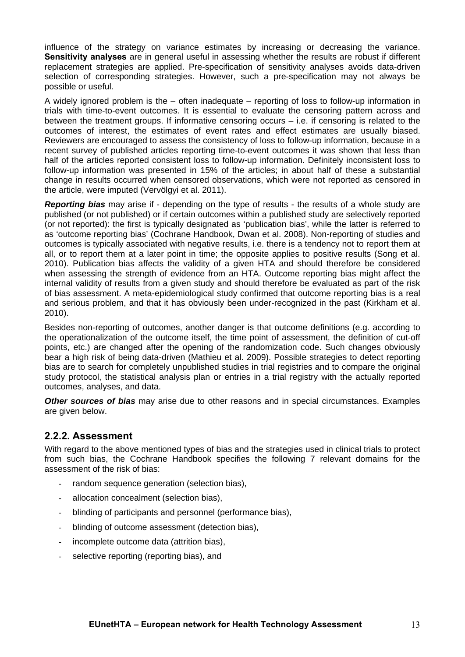influence of the strategy on variance estimates by increasing or decreasing the variance. **Sensitivity analyses** are in general useful in assessing whether the results are robust if different replacement strategies are applied. Pre-specification of sensitivity analyses avoids data-driven selection of corresponding strategies. However, such a pre-specification may not always be possible or useful.

A widely ignored problem is the – often inadequate – reporting of loss to follow-up information in trials with time-to-event outcomes. It is essential to evaluate the censoring pattern across and between the treatment groups. If informative censoring occurs – i.e. if censoring is related to the outcomes of interest, the estimates of event rates and effect estimates are usually biased. Reviewers are encouraged to assess the consistency of loss to follow-up information, because in a recent survey of published articles reporting time-to-event outcomes it was shown that less than half of the articles reported consistent loss to follow-up information. Definitely inconsistent loss to follow-up information was presented in 15% of the articles; in about half of these a substantial change in results occurred when censored observations, which were not reported as censored in the article, were imputed (Vervölgyi et al. 2011).

*Reporting bias* may arise if - depending on the type of results - the results of a whole study are published (or not published) or if certain outcomes within a published study are selectively reported (or not reported): the first is typically designated as 'publication bias', while the latter is referred to as 'outcome reporting bias' (Cochrane Handbook, Dwan et al. 2008). Non-reporting of studies and outcomes is typically associated with negative results, i.e. there is a tendency not to report them at all, or to report them at a later point in time; the opposite applies to positive results (Song et al. 2010). Publication bias affects the validity of a given HTA and should therefore be considered when assessing the strength of evidence from an HTA. Outcome reporting bias might affect the internal validity of results from a given study and should therefore be evaluated as part of the risk of bias assessment. A meta-epidemiological study confirmed that outcome reporting bias is a real and serious problem, and that it has obviously been under-recognized in the past (Kirkham et al. 2010).

Besides non-reporting of outcomes, another danger is that outcome definitions (e.g. according to the operationalization of the outcome itself, the time point of assessment, the definition of cut-off points, etc.) are changed after the opening of the randomization code. Such changes obviously bear a high risk of being data-driven (Mathieu et al. 2009). Possible strategies to detect reporting bias are to search for completely unpublished studies in trial registries and to compare the original study protocol, the statistical analysis plan or entries in a trial registry with the actually reported outcomes, analyses, and data.

**Other sources of bias** may arise due to other reasons and in special circumstances. Examples are given below.

### **2.2.2. Assessment**

With regard to the above mentioned types of bias and the strategies used in clinical trials to protect from such bias, the Cochrane Handbook specifies the following 7 relevant domains for the assessment of the risk of bias:

- random sequence generation (selection bias).
- allocation concealment (selection bias),
- blinding of participants and personnel (performance bias),
- blinding of outcome assessment (detection bias),
- incomplete outcome data (attrition bias),
- selective reporting (reporting bias), and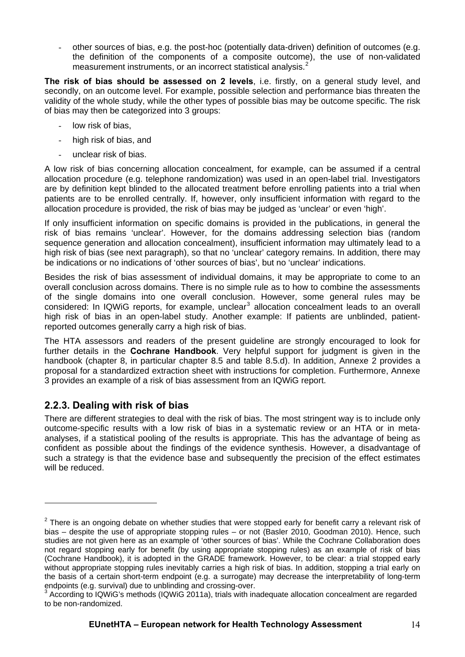other sources of bias, e.g. the post-hoc (potentially data-driven) definition of outcomes (e.g. the definition of the components of a composite outcome), the use of non-validated measurement instruments, or an incorrect statistical analysis.<sup>[2](#page-13-0)</sup>

**The risk of bias should be assessed on 2 levels**, i.e. firstly, on a general study level, and secondly, on an outcome level. For example, possible selection and performance bias threaten the validity of the whole study, while the other types of possible bias may be outcome specific. The risk of bias may then be categorized into 3 groups:

- low risk of bias.
- high risk of bias, and
- unclear risk of bias.

A low risk of bias concerning allocation concealment, for example, can be assumed if a central allocation procedure (e.g. telephone randomization) was used in an open-label trial. Investigators are by definition kept blinded to the allocated treatment before enrolling patients into a trial when patients are to be enrolled centrally. If, however, only insufficient information with regard to the allocation procedure is provided, the risk of bias may be judged as 'unclear' or even 'high'.

If only insufficient information on specific domains is provided in the publications, in general the risk of bias remains 'unclear'. However, for the domains addressing selection bias (random sequence generation and allocation concealment), insufficient information may ultimately lead to a high risk of bias (see next paragraph), so that no 'unclear' category remains. In addition, there may be indications or no indications of 'other sources of bias', but no 'unclear' indications.

Besides the risk of bias assessment of individual domains, it may be appropriate to come to an overall conclusion across domains. There is no simple rule as to how to combine the assessments of the single domains into one overall conclusion. However, some general rules may be considered: In IQWiG reports, for example, unclear<sup>[3](#page-13-1)</sup> allocation concealment leads to an overall high risk of bias in an open-label study. Another example: If patients are unblinded, patientreported outcomes generally carry a high risk of bias.

The HTA assessors and readers of the present guideline are strongly encouraged to look for further details in the **Cochrane Handbook**. Very helpful support for judgment is given in the handbook (chapter 8, in particular chapter 8.5 and table 8.5.d). In addition, Annexe 2 provides a proposal for a standardized extraction sheet with instructions for completion. Furthermore, Annexe 3 provides an example of a risk of bias assessment from an IQWiG report.

## **2.2.3. Dealing with risk of bias**

1

There are different strategies to deal with the risk of bias. The most stringent way is to include only outcome-specific results with a low risk of bias in a systematic review or an HTA or in metaanalyses, if a statistical pooling of the results is appropriate. This has the advantage of being as confident as possible about the findings of the evidence synthesis. However, a disadvantage of such a strategy is that the evidence base and subsequently the precision of the effect estimates will be reduced.

<span id="page-13-0"></span> $2$  There is an ongoing debate on whether studies that were stopped early for benefit carry a relevant risk of bias – despite the use of appropriate stopping rules – or not (Basler 2010, Goodman 2010). Hence, such studies are not given here as an example of 'other sources of bias'. While the Cochrane Collaboration does not regard stopping early for benefit (by using appropriate stopping rules) as an example of risk of bias (Cochrane Handbook), it is adopted in the GRADE framework. However, to be clear: a trial stopped early without appropriate stopping rules inevitably carries a high risk of bias. In addition, stopping a trial early on the basis of a certain short-term endpoint (e.g. a surrogate) may decrease the interpretability of long-term endpoints (e.g. survival) due to unblinding and crossing-over.

<span id="page-13-1"></span> $3$  According to IQWiG's methods (IQWiG 2011a), trials with inadequate allocation concealment are regarded to be non-randomized.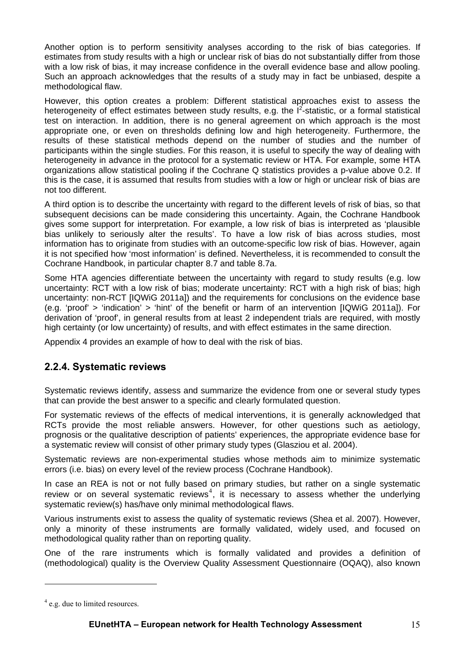Another option is to perform sensitivity analyses according to the risk of bias categories. If estimates from study results with a high or unclear risk of bias do not substantially differ from those with a low risk of bias, it may increase confidence in the overall evidence base and allow pooling. Such an approach acknowledges that the results of a study may in fact be unbiased, despite a methodological flaw.

However, this option creates a problem: Different statistical approaches exist to assess the heterogeneity of effect estimates between study results, e.g. the  $I^2$ -statistic, or a formal statistical test on interaction. In addition, there is no general agreement on which approach is the most appropriate one, or even on thresholds defining low and high heterogeneity. Furthermore, the results of these statistical methods depend on the number of studies and the number of participants within the single studies. For this reason, it is useful to specify the way of dealing with heterogeneity in advance in the protocol for a systematic review or HTA. For example, some HTA organizations allow statistical pooling if the Cochrane Q statistics provides a p-value above 0.2. If this is the case, it is assumed that results from studies with a low or high or unclear risk of bias are not too different.

A third option is to describe the uncertainty with regard to the different levels of risk of bias, so that subsequent decisions can be made considering this uncertainty. Again, the Cochrane Handbook gives some support for interpretation. For example, a low risk of bias is interpreted as 'plausible bias unlikely to seriously alter the results'. To have a low risk of bias across studies, most information has to originate from studies with an outcome-specific low risk of bias. However, again it is not specified how 'most information' is defined. Nevertheless, it is recommended to consult the Cochrane Handbook, in particular chapter 8.7 and table 8.7a.

Some HTA agencies differentiate between the uncertainty with regard to study results (e.g. low uncertainty: RCT with a low risk of bias; moderate uncertainty: RCT with a high risk of bias; high uncertainty: non-RCT [IQWiG 2011a]) and the requirements for conclusions on the evidence base (e.g. 'proof' > 'indication' > 'hint' of the benefit or harm of an intervention [IQWiG 2011a]). For derivation of 'proof', in general results from at least 2 independent trials are required, with mostly high certainty (or low uncertainty) of results, and with effect estimates in the same direction.

Appendix 4 provides an example of how to deal with the risk of bias.

### **2.2.4. Systematic reviews**

Systematic reviews identify, assess and summarize the evidence from one or several study types that can provide the best answer to a specific and clearly formulated question.

For systematic reviews of the effects of medical interventions, it is generally acknowledged that RCTs provide the most reliable answers. However, for other questions such as aetiology, prognosis or the qualitative description of patients' experiences, the appropriate evidence base for a systematic review will consist of other primary study types (Glasziou et al. 2004).

Systematic reviews are non-experimental studies whose methods aim to minimize systematic errors (i.e. bias) on every level of the review process (Cochrane Handbook).

In case an REA is not or not fully based on primary studies, but rather on a single systematic review or on several systematic reviews<sup>[4](#page-14-0)</sup>, it is necessary to assess whether the underlying systematic review(s) has/have only minimal methodological flaws.

Various instruments exist to assess the quality of systematic reviews (Shea et al. 2007). However, only a minority of these instruments are formally validated, widely used, and focused on methodological quality rather than on reporting quality.

One of the rare instruments which is formally validated and provides a definition of (methodological) quality is the Overview Quality Assessment Questionnaire (OQAQ), also known

<u>.</u>

<span id="page-14-0"></span><sup>&</sup>lt;sup>4</sup> e.g. due to limited resources.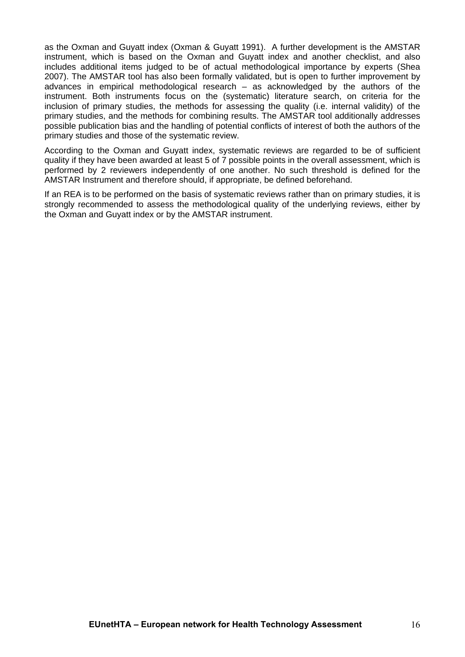as the Oxman and Guyatt index (Oxman & Guyatt 1991). A further development is the AMSTAR instrument, which is based on the Oxman and Guyatt index and another checklist, and also includes additional items judged to be of actual methodological importance by experts (Shea 2007). The AMSTAR tool has also been formally validated, but is open to further improvement by advances in empirical methodological research – as acknowledged by the authors of the instrument. Both instruments focus on the (systematic) literature search, on criteria for the inclusion of primary studies, the methods for assessing the quality (i.e. internal validity) of the primary studies, and the methods for combining results. The AMSTAR tool additionally addresses possible publication bias and the handling of potential conflicts of interest of both the authors of the primary studies and those of the systematic review.

According to the Oxman and Guyatt index, systematic reviews are regarded to be of sufficient quality if they have been awarded at least 5 of 7 possible points in the overall assessment, which is performed by 2 reviewers independently of one another. No such threshold is defined for the AMSTAR Instrument and therefore should, if appropriate, be defined beforehand.

If an REA is to be performed on the basis of systematic reviews rather than on primary studies, it is strongly recommended to assess the methodological quality of the underlying reviews, either by the Oxman and Guyatt index or by the AMSTAR instrument.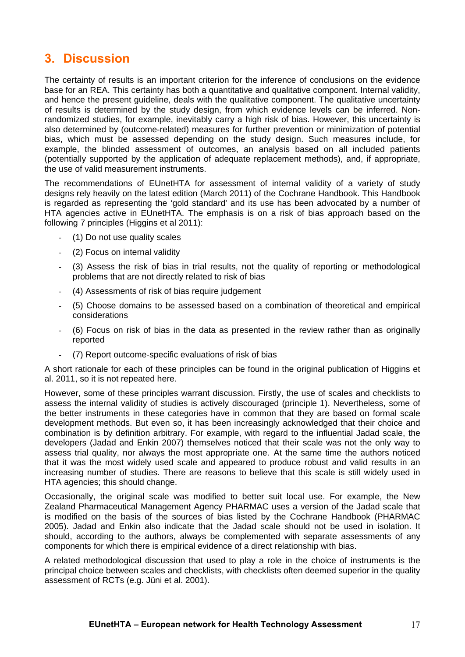## <span id="page-16-0"></span>**3. Discussion**

The certainty of results is an important criterion for the inference of conclusions on the evidence base for an REA. This certainty has both a quantitative and qualitative component. Internal validity, and hence the present guideline, deals with the qualitative component. The qualitative uncertainty of results is determined by the study design, from which evidence levels can be inferred. Nonrandomized studies, for example, inevitably carry a high risk of bias. However, this uncertainty is also determined by (outcome-related) measures for further prevention or minimization of potential bias, which must be assessed depending on the study design. Such measures include, for example, the blinded assessment of outcomes, an analysis based on all included patients (potentially supported by the application of adequate replacement methods), and, if appropriate, the use of valid measurement instruments.

The recommendations of EUnetHTA for assessment of internal validity of a variety of study designs rely heavily on the latest edition (March 2011) of the Cochrane Handbook. This Handbook is regarded as representing the 'gold standard' and its use has been advocated by a number of HTA agencies active in EUnetHTA. The emphasis is on a risk of bias approach based on the following 7 principles (Higgins et al 2011):

- (1) Do not use quality scales
- (2) Focus on internal validity
- (3) Assess the risk of bias in trial results, not the quality of reporting or methodological problems that are not directly related to risk of bias
- (4) Assessments of risk of bias require judgement
- (5) Choose domains to be assessed based on a combination of theoretical and empirical considerations
- (6) Focus on risk of bias in the data as presented in the review rather than as originally reported
- (7) Report outcome-specific evaluations of risk of bias

A short rationale for each of these principles can be found in the original publication of Higgins et al. 2011, so it is not repeated here.

However, some of these principles warrant discussion. Firstly, the use of scales and checklists to assess the internal validity of studies is actively discouraged (principle 1). Nevertheless, some of the better instruments in these categories have in common that they are based on formal scale development methods. But even so, it has been increasingly acknowledged that their choice and combination is by definition arbitrary. For example, with regard to the influential Jadad scale, the developers (Jadad and Enkin 2007) themselves noticed that their scale was not the only way to assess trial quality, nor always the most appropriate one. At the same time the authors noticed that it was the most widely used scale and appeared to produce robust and valid results in an increasing number of studies. There are reasons to believe that this scale is still widely used in HTA agencies; this should change.

Occasionally, the original scale was modified to better suit local use. For example, the New Zealand Pharmaceutical Management Agency PHARMAC uses a version of the Jadad scale that is modified on the basis of the sources of bias listed by the Cochrane Handbook (PHARMAC 2005). Jadad and Enkin also indicate that the Jadad scale should not be used in isolation. It should, according to the authors, always be complemented with separate assessments of any components for which there is empirical evidence of a direct relationship with bias.

A related methodological discussion that used to play a role in the choice of instruments is the principal choice between scales and checklists, with checklists often deemed superior in the quality assessment of RCTs (e.g. Jüni et al. 2001).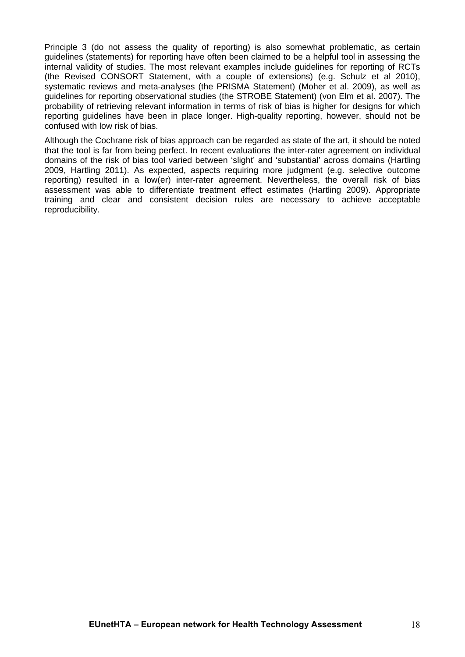Principle 3 (do not assess the quality of reporting) is also somewhat problematic, as certain guidelines (statements) for reporting have often been claimed to be a helpful tool in assessing the internal validity of studies. The most relevant examples include guidelines for reporting of RCTs (the Revised CONSORT Statement, with a couple of extensions) (e.g. Schulz et al 2010), systematic reviews and meta-analyses (the PRISMA Statement) (Moher et al. 2009), as well as guidelines for reporting observational studies (the STROBE Statement) (von Elm et al. 2007). The probability of retrieving relevant information in terms of risk of bias is higher for designs for which reporting guidelines have been in place longer. High-quality reporting, however, should not be confused with low risk of bias.

Although the Cochrane risk of bias approach can be regarded as state of the art, it should be noted that the tool is far from being perfect. In recent evaluations the inter-rater agreement on individual domains of the risk of bias tool varied between 'slight' and 'substantial' across domains (Hartling 2009, Hartling 2011). As expected, aspects requiring more judgment (e.g. selective outcome reporting) resulted in a low(er) inter-rater agreement. Nevertheless, the overall risk of bias assessment was able to differentiate treatment effect estimates (Hartling 2009). Appropriate training and clear and consistent decision rules are necessary to achieve acceptable reproducibility.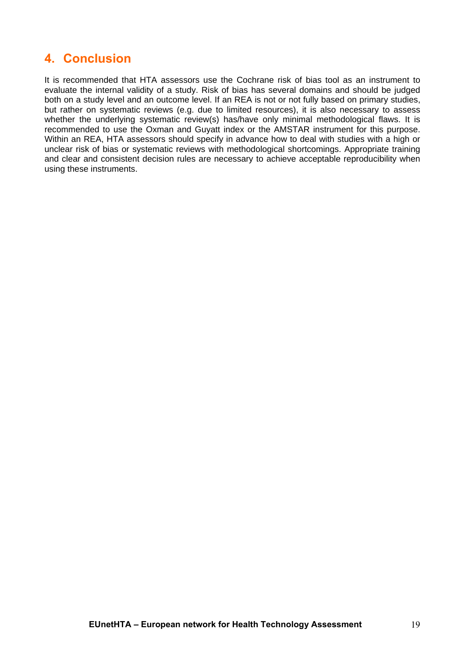## <span id="page-18-0"></span>**4. Conclusion**

It is recommended that HTA assessors use the Cochrane risk of bias tool as an instrument to evaluate the internal validity of a study. Risk of bias has several domains and should be judged both on a study level and an outcome level. If an REA is not or not fully based on primary studies, but rather on systematic reviews (e.g. due to limited resources), it is also necessary to assess whether the underlying systematic review(s) has/have only minimal methodological flaws. It is recommended to use the Oxman and Guyatt index or the AMSTAR instrument for this purpose. Within an REA, HTA assessors should specify in advance how to deal with studies with a high or unclear risk of bias or systematic reviews with methodological shortcomings. Appropriate training and clear and consistent decision rules are necessary to achieve acceptable reproducibility when using these instruments.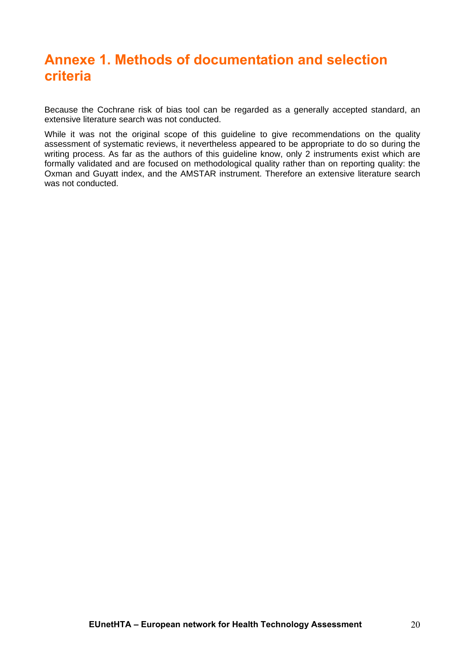# <span id="page-19-0"></span>**Annexe 1. Methods of documentation and selection criteria**

Because the Cochrane risk of bias tool can be regarded as a generally accepted standard, an extensive literature search was not conducted.

While it was not the original scope of this guideline to give recommendations on the quality assessment of systematic reviews, it nevertheless appeared to be appropriate to do so during the writing process. As far as the authors of this guideline know, only 2 instruments exist which are formally validated and are focused on methodological quality rather than on reporting quality: the Oxman and Guyatt index, and the AMSTAR instrument. Therefore an extensive literature search was not conducted.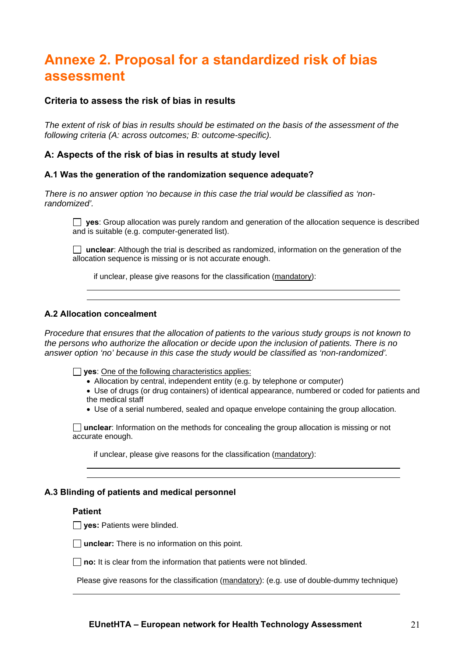# <span id="page-20-0"></span>**Annexe 2. Proposal for a standardized risk of bias assessment**

### **Criteria to assess the risk of bias in results**

*The extent of risk of bias in results should be estimated on the basis of the assessment of the following criteria (A: across outcomes; B: outcome-specific).* 

### **A: Aspects of the risk of bias in results at study level**

### **A.1 Was the generation of the randomization sequence adequate?**

*There is no answer option 'no because in this case the trial would be classified as 'nonrandomized'.* 

**yes**: Group allocation was purely random and generation of the allocation sequence is described and is suitable (e.g. computer-generated list).

 **unclear**: Although the trial is described as randomized, information on the generation of the allocation sequence is missing or is not accurate enough.

if unclear, please give reasons for the classification (mandatory):

### **A.2 Allocation concealment**

*Procedure that ensures that the allocation of patients to the various study groups is not known to the persons who authorize the allocation or decide upon the inclusion of patients. There is no answer option 'no' because in this case the study would be classified as 'non-randomized'.* 

**yes**: One of the following characteristics applies:

Allocation by central, independent entity (e.g. by telephone or computer)

 Use of drugs (or drug containers) of identical appearance, numbered or coded for patients and the medical staff

Use of a serial numbered, sealed and opaque envelope containing the group allocation.

**unclear**: Information on the methods for concealing the group allocation is missing or not accurate enough.

if unclear, please give reasons for the classification (mandatory):

### **A.3 Blinding of patients and medical personnel**

### **Patient**

**yes:** Patients were blinded.



**no:** It is clear from the information that patients were not blinded.

Please give reasons for the classification (mandatory): (e.g. use of double-dummy technique)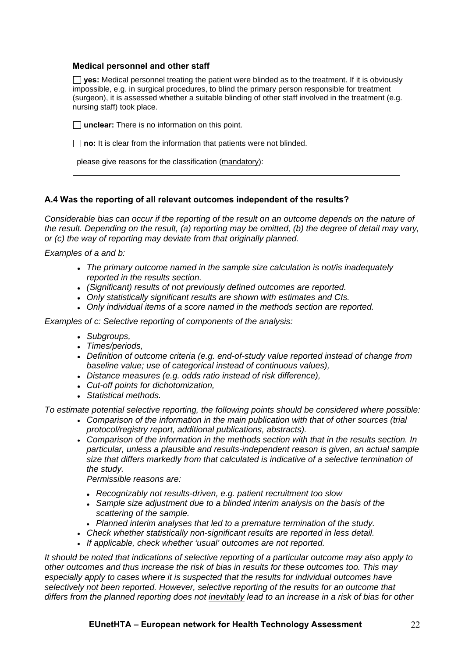### **Medical personnel and other staff**

**yes:** Medical personnel treating the patient were blinded as to the treatment. If it is obviously impossible, e.g. in surgical procedures, to blind the primary person responsible for treatment (surgeon), it is assessed whether a suitable blinding of other staff involved in the treatment (e.g. nursing staff) took place.

□ **unclear:** There is no information on this point.

**no:** It is clear from the information that patients were not blinded.

please give reasons for the classification (mandatory):

### **A.4 Was the reporting of all relevant outcomes independent of the results?**

*Considerable bias can occur if the reporting of the result on an outcome depends on the nature of the result. Depending on the result, (a) reporting may be omitted, (b) the degree of detail may vary, or (c) the way of reporting may deviate from that originally planned.* 

*Examples of a and b:*

- *The primary outcome named in the sample size calculation is not/is inadequately reported in the results section.*
- *(Significant) results of not previously defined outcomes are reported.*
- *Only statistically significant results are shown with estimates and CIs.*
- *Only individual items of a score named in the methods section are reported.*

*Examples of c: Selective reporting of components of the analysis:* 

- *Subgroups,*
- *Times/periods,*
- *Definition of outcome criteria (e.g. end-of-study value reported instead of change from baseline value; use of categorical instead of continuous values),*
- *Distance measures (e.g. odds ratio instead of risk difference),*
- *Cut-off points for dichotomization,*
- *Statistical methods.*

*To estimate potential selective reporting, the following points should be considered where possible:* 

- *Comparison of the information in the main publication with that of other sources (trial protocol/registry report, additional publications, abstracts).*
- *Comparison of the information in the methods section with that in the results section. In particular, unless a plausible and results-independent reason is given, an actual sample size that differs markedly from that calculated is indicative of a selective termination of the study.*

*Permissible reasons are:* 

- *Recognizably not results-driven, e.g. patient recruitment too slow*
- *Sample size adjustment due to a blinded interim analysis on the basis of the scattering of the sample.*
- *Planned interim analyses that led to a premature termination of the study.*
- *Check whether statistically non-significant results are reported in less detail.*
- *If applicable, check whether 'usual' outcomes are not reported.*

*It should be noted that indications of selective reporting of a particular outcome may also apply to other outcomes and thus increase the risk of bias in results for these outcomes too. This may especially apply to cases where it is suspected that the results for individual outcomes have selectively not been reported. However, selective reporting of the results for an outcome that differs from the planned reporting does not inevitably lead to an increase in a risk of bias for other*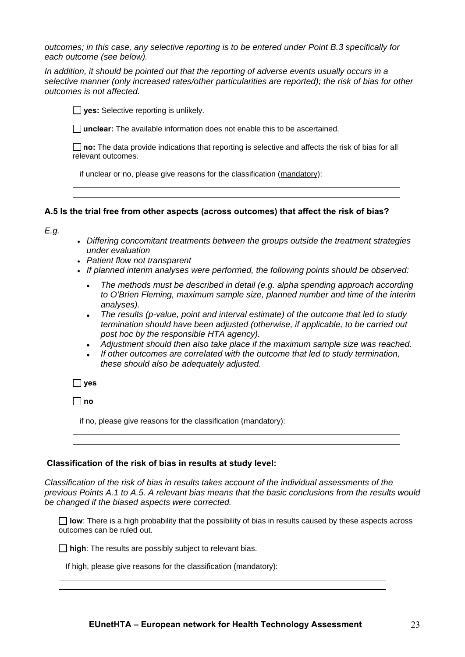*outcomes; in this case, any selective reporting is to be entered under Point B.3 specifically for each outcome (see below).* 

*In addition, it should be pointed out that the reporting of adverse events usually occurs in a selective manner (only increased rates/other particularities are reported); the risk of bias for other outcomes is not affected.* 

**yes:** Selective reporting is unlikely.

**unclear:** The available information does not enable this to be ascertained.

**no:** The data provide indications that reporting is selective and affects the risk of bias for all relevant outcomes.

if unclear or no, please give reasons for the classification (mandatory):

#### **A.5 Is the trial free from other aspects (across outcomes) that affect the risk of bias?**

*E.g.* 

- *Differing concomitant treatments between the groups outside the treatment strategies under evaluation*
- *Patient flow not transparent*
- *If planned interim analyses were performed, the following points should be observed:* 
	- *The methods must be described in detail (e.g. alpha spending approach according to O'Brien Fleming, maximum sample size, planned number and time of the interim analyses).*
	- *The results (p-value, point and interval estimate) of the outcome that led to study termination should have been adjusted (otherwise, if applicable, to be carried out post hoc by the responsible HTA agency).*
	- *Adjustment should then also take place if the maximum sample size was reached.*
	- *If other outcomes are correlated with the outcome that led to study termination, these should also be adequately adjusted.*

 $\Box$  ves

**no**

if no, please give reasons for the classification (mandatory):

### **Classification of the risk of bias in results at study level:**

*Classification of the risk of bias in results takes account of the individual assessments of the previous Points A.1 to A.5. A relevant bias means that the basic conclusions from the results would be changed if the biased aspects were corrected.*

 $\Box$  low: There is a high probability that the possibility of bias in results caused by these aspects across outcomes can be ruled out.

**high**: The results are possibly subject to relevant bias.

If high, please give reasons for the classification (mandatory):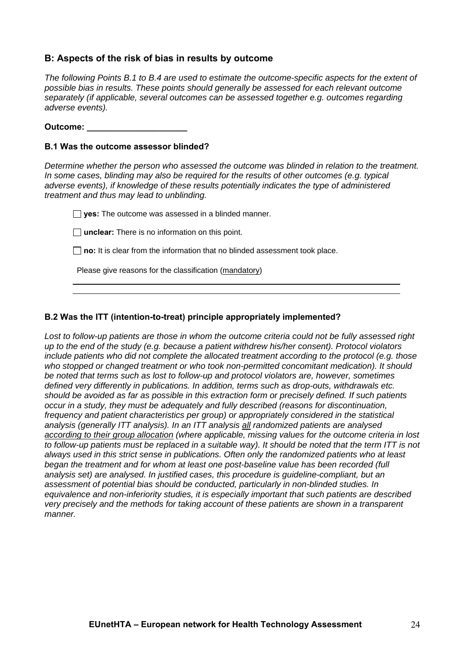### **B: Aspects of the risk of bias in results by outcome**

*The following Points B.1 to B.4 are used to estimate the outcome-specific aspects for the extent of possible bias in results. These points should generally be assessed for each relevant outcome separately (if applicable, several outcomes can be assessed together e.g. outcomes regarding adverse events).* 

**Outcome: \_\_\_\_\_\_\_\_\_\_\_\_\_\_\_\_\_\_\_\_\_** 

### **B.1 Was the outcome assessor blinded?**

*Determine whether the person who assessed the outcome was blinded in relation to the treatment. In some cases, blinding may also be required for the results of other outcomes (e.g. typical adverse events), if knowledge of these results potentially indicates the type of administered treatment and thus may lead to unblinding.* 

**yes:** The outcome was assessed in a blinded manner.

**unclear:** There is no information on this point.

□ no: It is clear from the information that no blinded assessment took place.

Please give reasons for the classification (mandatory)

### **B.2 Was the ITT (intention-to-treat) principle appropriately implemented?**

*Lost to follow-up patients are those in whom the outcome criteria could not be fully assessed right up to the end of the study (e.g. because a patient withdrew his/her consent). Protocol violators include patients who did not complete the allocated treatment according to the protocol (e.g. those who stopped or changed treatment or who took non-permitted concomitant medication). It should be noted that terms such as lost to follow-up and protocol violators are, however, sometimes defined very differently in publications. In addition, terms such as drop-outs, withdrawals etc. should be avoided as far as possible in this extraction form or precisely defined. If such patients occur in a study, they must be adequately and fully described (reasons for discontinuation, frequency and patient characteristics per group) or appropriately considered in the statistical analysis (generally ITT analysis). In an ITT analysis all randomized patients are analysed according to their group allocation (where applicable, missing values for the outcome criteria in lost to follow-up patients must be replaced in a suitable way). It should be noted that the term ITT is not always used in this strict sense in publications. Often only the randomized patients who at least began the treatment and for whom at least one post-baseline value has been recorded (full analysis set) are analysed. In justified cases, this procedure is guideline-compliant, but an assessment of potential bias should be conducted, particularly in non-blinded studies. In equivalence and non-inferiority studies, it is especially important that such patients are described very precisely and the methods for taking account of these patients are shown in a transparent manner.*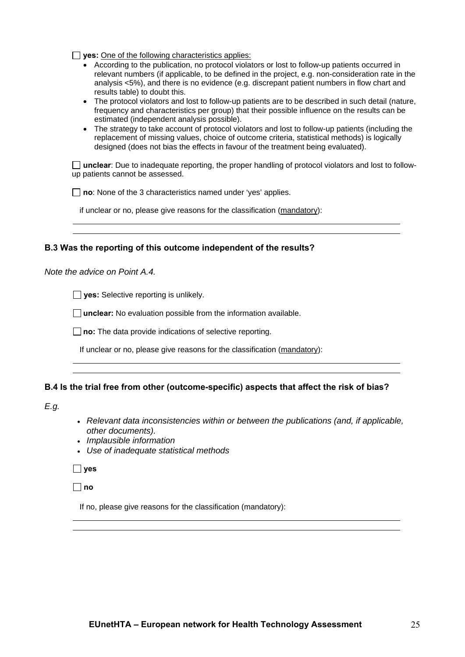**yes:** One of the following characteristics applies:

- According to the publication, no protocol violators or lost to follow-up patients occurred in relevant numbers (if applicable, to be defined in the project, e.g. non-consideration rate in the analysis <5%), and there is no evidence (e.g. discrepant patient numbers in flow chart and results table) to doubt this.
- The protocol violators and lost to follow-up patients are to be described in such detail (nature, frequency and characteristics per group) that their possible influence on the results can be estimated (independent analysis possible).
- The strategy to take account of protocol violators and lost to follow-up patients (including the replacement of missing values, choice of outcome criteria, statistical methods) is logically designed (does not bias the effects in favour of the treatment being evaluated).

□ **unclear**: Due to inadequate reporting, the proper handling of protocol violators and lost to followup patients cannot be assessed.

□ **no**: None of the 3 characteristics named under 'yes' applies.

if unclear or no, please give reasons for the classification (mandatory):

### **B.3 Was the reporting of this outcome independent of the results?**

*Note the advice on Point A.4.* 

**yes:** Selective reporting is unlikely.

**unclear:** No evaluation possible from the information available.

**no:** The data provide indications of selective reporting.

If unclear or no, please give reasons for the classification (mandatory):

### **B.4 Is the trial free from other (outcome-specific) aspects that affect the risk of bias?**

*E.g.* 

- *Relevant data inconsistencies within or between the publications (and, if applicable, other documents).*
- *Implausible information*
- *Use of inadequate statistical methods*

 **yes** 

 $\Box$  no

If no, please give reasons for the classification (mandatory):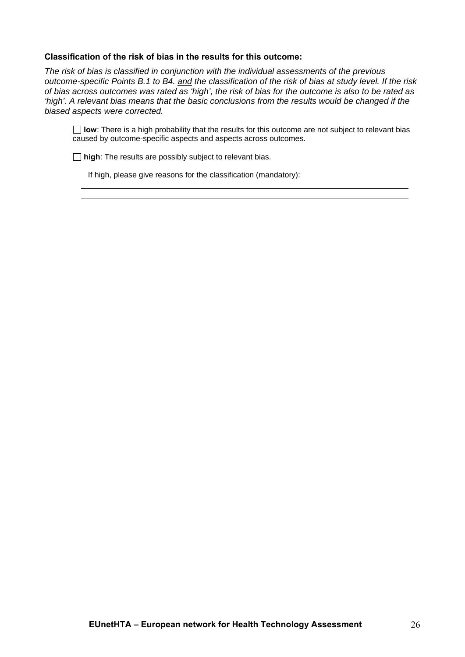### **Classification of the risk of bias in the results for this outcome:**

*The risk of bias is classified in conjunction with the individual assessments of the previous outcome-specific Points B.1 to B4. and the classification of the risk of bias at study level. If the risk of bias across outcomes was rated as 'high', the risk of bias for the outcome is also to be rated as 'high'. A relevant bias means that the basic conclusions from the results would be changed if the biased aspects were corrected.*

**I** low: There is a high probability that the results for this outcome are not subject to relevant bias caused by outcome-specific aspects and aspects across outcomes.

**high**: The results are possibly subject to relevant bias.

If high, please give reasons for the classification (mandatory):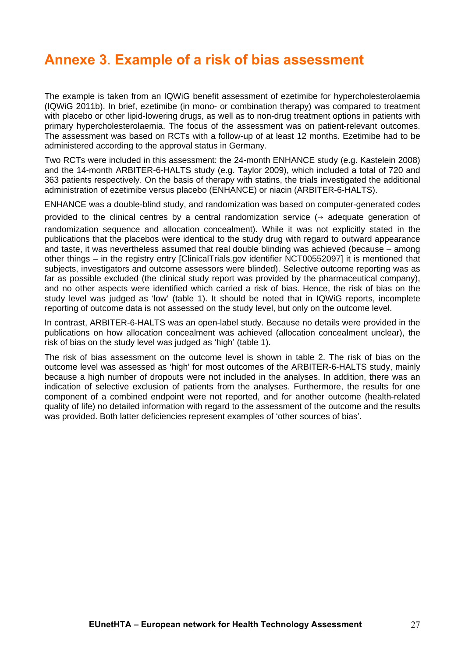# <span id="page-26-0"></span>**Annexe 3**. **Example of a risk of bias assessment**

The example is taken from an IQWiG benefit assessment of ezetimibe for hypercholesterolaemia (IQWiG 2011b). In brief, ezetimibe (in mono- or combination therapy) was compared to treatment with placebo or other lipid-lowering drugs, as well as to non-drug treatment options in patients with primary hypercholesterolaemia. The focus of the assessment was on patient-relevant outcomes. The assessment was based on RCTs with a follow-up of at least 12 months. Ezetimibe had to be administered according to the approval status in Germany.

Two RCTs were included in this assessment: the 24-month ENHANCE study (e.g. Kastelein 2008) and the 14-month ARBITER-6-HALTS study (e.g. Taylor 2009), which included a total of 720 and 363 patients respectively. On the basis of therapy with statins, the trials investigated the additional administration of ezetimibe versus placebo (ENHANCE) or niacin (ARBITER-6-HALTS).

ENHANCE was a double-blind study, and randomization was based on computer-generated codes provided to the clinical centres by a central randomization service  $($   $\rightarrow$  adequate generation of randomization sequence and allocation concealment). While it was not explicitly stated in the publications that the placebos were identical to the study drug with regard to outward appearance and taste, it was nevertheless assumed that real double blinding was achieved (because – among other things – in the registry entry [ClinicalTrials.gov identifier NCT00552097] it is mentioned that subjects, investigators and outcome assessors were blinded). Selective outcome reporting was as far as possible excluded (the clinical study report was provided by the pharmaceutical company), and no other aspects were identified which carried a risk of bias. Hence, the risk of bias on the study level was judged as 'low' (table 1). It should be noted that in IQWiG reports, incomplete

In contrast, ARBITER-6-HALTS was an open-label study. Because no details were provided in the publications on how allocation concealment was achieved (allocation concealment unclear), the risk of bias on the study level was judged as 'high' (table 1).

reporting of outcome data is not assessed on the study level, but only on the outcome level.

The risk of bias assessment on the outcome level is shown in table 2. The risk of bias on the outcome level was assessed as 'high' for most outcomes of the ARBITER-6-HALTS study, mainly because a high number of dropouts were not included in the analyses. In addition, there was an indication of selective exclusion of patients from the analyses. Furthermore, the results for one component of a combined endpoint were not reported, and for another outcome (health-related quality of life) no detailed information with regard to the assessment of the outcome and the results was provided. Both latter deficiencies represent examples of 'other sources of bias'.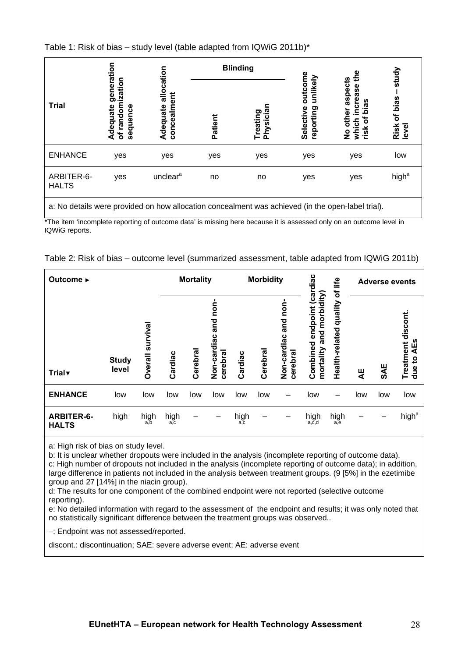Table 1: Risk of bias – study level (table adapted from IQWiG 2011b)\*

|                            |                                                        |                                       | <b>Blinding</b> |                       |                                               | eq                                                                          | study                                                |
|----------------------------|--------------------------------------------------------|---------------------------------------|-----------------|-----------------------|-----------------------------------------------|-----------------------------------------------------------------------------|------------------------------------------------------|
| <b>Trial</b>               | generation<br>of randomization<br>Adequate<br>sequence | allocation<br>concealment<br>Adequate | Patient         | Physician<br>Treating | outcome<br>unlikely<br>Selective<br>reporting | aspects<br>increase<br>bias<br>other<br>৳<br>which<br>risk<br>$\frac{1}{2}$ | bias<br>$\mathbf{\tilde{o}}$<br><b>Risk</b><br>level |
| <b>ENHANCE</b>             | yes                                                    | yes                                   | yes             | yes                   | yes                                           | yes                                                                         | low                                                  |
| ARBITER-6-<br><b>HALTS</b> | yes                                                    | unclear <sup>a</sup>                  | no              | no                    | yes                                           | yes                                                                         | high <sup>a</sup>                                    |
| .                          | .                                                      | $\cdots$<br>. .                       | $\sim$<br>. .   | $\cdot$ $\cdot$       | $\cdots$                                      | . <b>.</b>                                                                  |                                                      |

a: No details were provided on how allocation concealment was achieved (in the open-label trial).

\*The item 'incomplete reporting of outcome data' is missing here because it is assessed only on an outcome level in IQWiG reports.

|  | Table 2: Risk of bias - outcome level (summarized assessment, table adapted from IQWiG 2011b) |
|--|-----------------------------------------------------------------------------------------------|
|--|-----------------------------------------------------------------------------------------------|

| Outcome ►                         |                       |                     | <b>Mortality</b> |         |                                          | <b>Morbidity</b> |          |                                       | life<br>đ                                                   | <b>Adverse events</b>    |     |     |                                                      |
|-----------------------------------|-----------------------|---------------------|------------------|---------|------------------------------------------|------------------|----------|---------------------------------------|-------------------------------------------------------------|--------------------------|-----|-----|------------------------------------------------------|
| <b>Trial</b>                      | <b>Study</b><br>level | survival<br>Overall | Cardiac          | Cerebra | غ<br>S<br>and<br>Non-cardiac<br>cerebral | Cardiac          | Cerebral | non<br>and<br>Non-cardiac<br>cerebral | morbidity<br>ලි<br>endpoint<br>and<br>Combined<br>mortality | Health-related quality   | 북   | SAE | discont<br>AEs<br>Treatment<br>$\overline{5}$<br>due |
| <b>ENHANCE</b>                    | low                   | low                 | low              | low     | low                                      | low              | low      | -                                     | low                                                         | $\overline{\phantom{m}}$ | low | low | low                                                  |
| <b>ARBITER-6-</b><br><b>HALTS</b> | high                  | high<br>а.Ъ         | high<br>a,c      |         |                                          | high<br>a,c      |          |                                       | high<br>$a, \tilde{c}, d$                                   | $high_{a,e}$             |     |     | high <sup>a</sup>                                    |

a: High risk of bias on study level.

b: It is unclear whether dropouts were included in the analysis (incomplete reporting of outcome data). c: High number of dropouts not included in the analysis (incomplete reporting of outcome data); in addition, large difference in patients not included in the analysis between treatment groups. (9 [5%] in the ezetimibe group and 27 [14%] in the niacin group).

d: The results for one component of the combined endpoint were not reported (selective outcome reporting).

e: No detailed information with regard to the assessment of the endpoint and results; it was only noted that no statistically significant difference between the treatment groups was observed..

–: Endpoint was not assessed/reported.

discont.: discontinuation; SAE: severe adverse event; AE: adverse event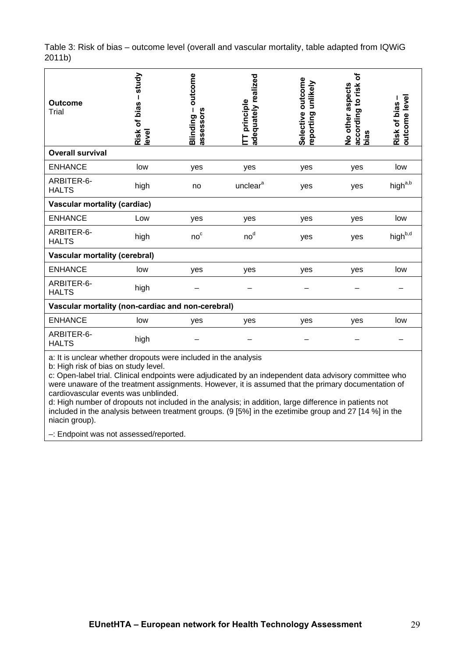Table 3: Risk of bias – outcome level (overall and vascular mortality, table adapted from IQWiG 2011b)

| study<br>Risk of bias<br>level       | outcome<br>assessors<br>Blinding | adequately realized<br>principle<br>Ē |                                                                                                                                                                                                                                                                                     | ৳<br>risk<br>No other aspects<br>9<br>according<br>bias | outcome level<br>Risk of bias - |  |
|--------------------------------------|----------------------------------|---------------------------------------|-------------------------------------------------------------------------------------------------------------------------------------------------------------------------------------------------------------------------------------------------------------------------------------|---------------------------------------------------------|---------------------------------|--|
|                                      |                                  |                                       |                                                                                                                                                                                                                                                                                     |                                                         |                                 |  |
| low                                  | yes                              | yes                                   | yes                                                                                                                                                                                                                                                                                 | yes                                                     | low                             |  |
| high                                 | no                               | unclear <sup>a</sup>                  | yes                                                                                                                                                                                                                                                                                 | yes                                                     | high <sup>a,b</sup>             |  |
| <b>Vascular mortality (cardiac)</b>  |                                  |                                       |                                                                                                                                                                                                                                                                                     |                                                         |                                 |  |
| Low                                  | yes                              | yes                                   | yes                                                                                                                                                                                                                                                                                 | yes                                                     | low                             |  |
| high                                 | no <sup>c</sup>                  | no <sup>d</sup>                       | yes                                                                                                                                                                                                                                                                                 | yes                                                     | high <sup>b,d</sup>             |  |
| <b>Vascular mortality (cerebral)</b> |                                  |                                       |                                                                                                                                                                                                                                                                                     |                                                         |                                 |  |
| low                                  | yes                              | yes                                   | yes                                                                                                                                                                                                                                                                                 | yes                                                     | low                             |  |
| high                                 |                                  |                                       |                                                                                                                                                                                                                                                                                     |                                                         |                                 |  |
|                                      |                                  |                                       |                                                                                                                                                                                                                                                                                     |                                                         |                                 |  |
| low                                  | yes                              | yes                                   | yes                                                                                                                                                                                                                                                                                 | yes                                                     | low                             |  |
| high                                 |                                  |                                       |                                                                                                                                                                                                                                                                                     |                                                         |                                 |  |
| $\mathbf{r}$                         |                                  |                                       | Vascular mortality (non-cardiac and non-cerebral)<br>the contract of the contract of the contract of the contract of the contract of the contract of the contract of the contract of the contract of the contract of the contract of the contract of the contract of the contract o | outcome<br>unlikely<br>Selective<br>reporting           |                                 |  |

a: It is unclear whether dropouts were included in the analysis

b: High risk of bias on study level.

c: Open-label trial. Clinical endpoints were adjudicated by an independent data advisory committee who were unaware of the treatment assignments. However, it is assumed that the primary documentation of cardiovascular events was unblinded.

d: High number of dropouts not included in the analysis; in addition, large difference in patients not included in the analysis between treatment groups. (9 [5%] in the ezetimibe group and 27 [14 %] in the niacin group).

–: Endpoint was not assessed/reported.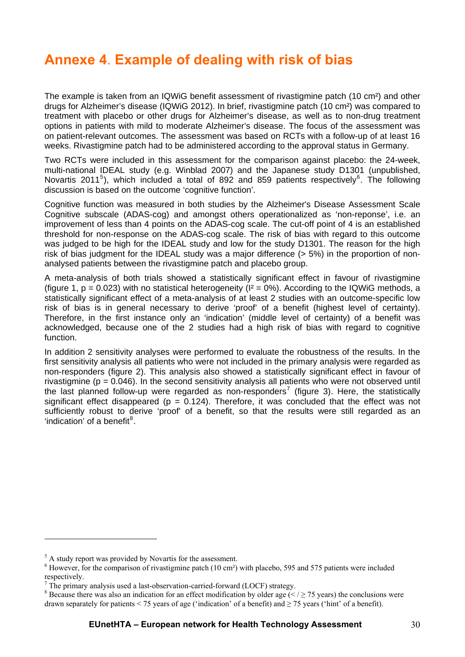# <span id="page-29-0"></span>**Annexe 4**. **Example of dealing with risk of bias**

The example is taken from an IQWiG benefit assessment of rivastigmine patch (10 cm²) and other drugs for Alzheimer's disease (IQWiG 2012). In brief, rivastigmine patch (10 cm²) was compared to treatment with placebo or other drugs for Alzheimer's disease, as well as to non-drug treatment options in patients with mild to moderate Alzheimer's disease. The focus of the assessment was on patient-relevant outcomes. The assessment was based on RCTs with a follow-up of at least 16 weeks. Rivastigmine patch had to be administered according to the approval status in Germany.

Two RCTs were included in this assessment for the comparison against placebo: the 24-week, multi-national IDEAL study (e.g. Winblad 2007) and the Japanese study D1301 (unpublished, Novartis 2011<sup>[5](#page-29-1)</sup>), which included a total of 892 and 859 patients respectively<sup>[6](#page-29-2)</sup>. The following discussion is based on the outcome 'cognitive function'.

Cognitive function was measured in both studies by the Alzheimer's Disease Assessment Scale Cognitive subscale (ADAS-cog) and amongst others operationalized as 'non-reponse', i.e. an improvement of less than 4 points on the ADAS-cog scale. The cut-off point of 4 is an established threshold for non-response on the ADAS-cog scale. The risk of bias with regard to this outcome was judged to be high for the IDEAL study and low for the study D1301. The reason for the high risk of bias judgment for the IDEAL study was a major difference (> 5%) in the proportion of nonanalysed patients between the rivastigmine patch and placebo group.

A meta-analysis of both trials showed a statistically significant effect in favour of rivastigmine (figure 1,  $p = 0.023$ ) with no statistical heterogeneity ( $I^2 = 0\%$ ). According to the IQWiG methods, a statistically significant effect of a meta-analysis of at least 2 studies with an outcome-specific low risk of bias is in general necessary to derive 'proof' of a benefit (highest level of certainty). Therefore, in the first instance only an 'indication' (middle level of certainty) of a benefit was acknowledged, because one of the 2 studies had a high risk of bias with regard to cognitive function.

In addition 2 sensitivity analyses were performed to evaluate the robustness of the results. In the first sensitivity analysis all patients who were not included in the primary analysis were regarded as non-responders (figure 2). This analysis also showed a statistically significant effect in favour of rivastigmine ( $p = 0.046$ ). In the second sensitivity analysis all patients who were not observed until the last planned follow-up were regarded as non-responders<sup>[7](#page-29-3)</sup> (figure 3). Here, the statistically significant effect disappeared ( $p = 0.124$ ). Therefore, it was concluded that the effect was not sufficiently robust to derive 'proof' of a benefit, so that the results were still regarded as an 'indication' of a benefit $8$ .

1

<span id="page-29-1"></span><sup>&</sup>lt;sup>5</sup> A study report was provided by Novartis for the assessment.

<span id="page-29-2"></span><sup>&</sup>lt;sup>6</sup> However, for the comparison of rivastigmine patch (10 cm<sup>2</sup>) with placebo, 595 and 575 patients were included respectively.

<span id="page-29-3"></span>The primary analysis used a last-observation-carried-forward (LOCF) strategy.

<span id="page-29-4"></span><sup>&</sup>lt;sup>8</sup> Because there was also an indication for an effect modification by older age ( $\le$  /  $\ge$  75 years) the conclusions were drawn separately for patients < 75 years of age ('indication' of a benefit) and  $\geq$  75 years ('hint' of a benefit).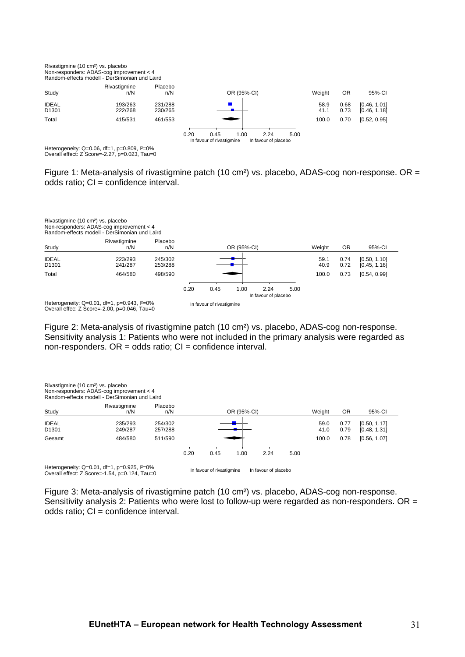

Heterogeneity: Q=0.06, df=1, p=0.809, I²=0% Overall effect: Z Score=-2.27, p=0.023, Tau=0

Figure 1: Meta-analysis of rivastigmine patch (10 cm<sup>2</sup>) vs. placebo, ADAS-cog non-response. OR = odds ratio; CI = confidence interval.

|                                   | Rivastigmine (10 cm <sup>2</sup> ) vs. placebo<br>Non-responders: ADAS-cog improvement < 4<br>Random-effects modell - DerSimonian und Laird |                    |      |                              |             |                      |    |        |              |                              |  |
|-----------------------------------|---------------------------------------------------------------------------------------------------------------------------------------------|--------------------|------|------------------------------|-------------|----------------------|----|--------|--------------|------------------------------|--|
|                                   | Rivastigmine                                                                                                                                | Placebo            |      |                              |             |                      |    |        |              |                              |  |
| Study                             | n/N                                                                                                                                         | n/N                |      |                              | OR (95%-CI) | Weight               | 0R | 95%-CI |              |                              |  |
| <b>IDEAL</b><br>D <sub>1301</sub> | 223/293<br>241/287                                                                                                                          | 245/302<br>253/288 |      |                              |             |                      |    |        | 0.74<br>0.72 | [0.50, 1.10]<br>[0.45, 1.16] |  |
| Total                             | 464/580                                                                                                                                     | 498/590            |      |                              |             |                      |    | 100.0  | 0.73         | [0.54, 0.99]                 |  |
|                                   |                                                                                                                                             |                    |      |                              |             |                      |    |        |              |                              |  |
|                                   |                                                                                                                                             |                    | 0.20 | 0.45<br>1.00<br>2.24<br>5.00 |             |                      |    |        |              |                              |  |
|                                   |                                                                                                                                             |                    |      |                              |             | In favour of placebo |    |        |              |                              |  |
|                                   | Heterogeneity: $Q=0.01$ , df=1, p=0.943, $1^{2}=0\%$<br>Overall effec: $Z$ Score=-2.00, $p=0.046$ . Tau=0                                   |                    |      | In favour of rivastigmine    |             |                      |    |        |              |                              |  |

Figure 2: Meta-analysis of rivastigmine patch (10 cm²) vs. placebo, ADAS-cog non-response. Sensitivity analysis 1: Patients who were not included in the primary analysis were regarded as non-responders. OR = odds ratio; CI = confidence interval.

| Rivastigmine (10 cm <sup>2</sup> ) vs. placebo | Non-responders: ADAS-cog improvement < 4<br>Random-effects modell - DerSimonian und Laird             |                    |             |                           |  |                      |              |                              |           |              |  |
|------------------------------------------------|-------------------------------------------------------------------------------------------------------|--------------------|-------------|---------------------------|--|----------------------|--------------|------------------------------|-----------|--------------|--|
| Study                                          | Rivastigmine<br>n/N                                                                                   | Placebo<br>n/N     | OR (95%-CI) |                           |  |                      |              | Weight                       | <b>OR</b> | 95%-CI       |  |
| <b>IDEAL</b><br>D <sub>1301</sub>              | 235/293<br>249/287                                                                                    | 254/302<br>257/288 |             |                           |  | 59.0<br>41.0         | 0.77<br>0.79 | [0.50, 1.17]<br>[0.48, 1.31] |           |              |  |
| Gesamt                                         | 484/580                                                                                               | 511/590            |             |                           |  |                      |              | 100.0                        | 0.78      | [0.56, 1.07] |  |
|                                                | 1.00<br>2.24<br>0.20<br>0.45<br>5.00                                                                  |                    |             |                           |  |                      |              |                              |           |              |  |
|                                                | Heterogeneity: $Q=0.01$ , df=1, p=0.925, $1^{2}=0\%$<br>Overall effect: Z Score=-1.54, p=0.124, Tau=0 |                    |             | In favour of rivastigmine |  | In favour of placebo |              |                              |           |              |  |

Figure 3: Meta-analysis of rivastigmine patch (10 cm²) vs. placebo, ADAS-cog non-response. Sensitivity analysis 2: Patients who were lost to follow-up were regarded as non-responders. OR = odds ratio; CI = confidence interval.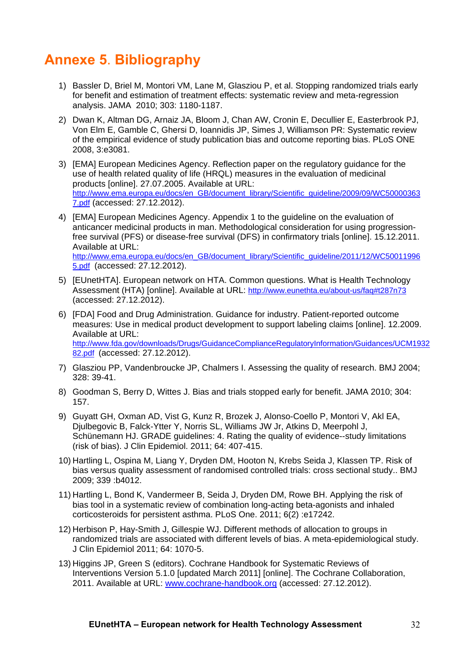# <span id="page-31-0"></span>**Annexe 5**. **Bibliography**

- 1) Bassler D, Briel M, Montori VM, Lane M, Glasziou P, et al. Stopping randomized trials early for benefit and estimation of treatment effects: systematic review and meta-regression analysis. JAMA 2010; 303: 1180-1187.
- 2) Dwan K, Altman DG, Arnaiz JA, Bloom J, Chan AW, Cronin E, Decullier E, Easterbrook PJ, Von Elm E, Gamble C, Ghersi D, Ioannidis JP, Simes J, Williamson PR: Systematic review of the empirical evidence of study publication bias and outcome reporting bias. PLoS ONE 2008, 3:e3081.
- 3) [EMA] European Medicines Agency. Reflection paper on the regulatory guidance for the use of health related quality of life (HRQL) measures in the evaluation of medicinal products [online]. 27.07.2005. Available at URL: [http://www.ema.europa.eu/docs/en\\_GB/document\\_library/Scientific\\_guideline/2009/09/WC50000363](http://www.ema.europa.eu/docs/en_GB/document_library/Scientific_guideline/2009/09/WC500003637.pdf) [7.pdf](http://www.ema.europa.eu/docs/en_GB/document_library/Scientific_guideline/2009/09/WC500003637.pdf) (accessed: 27.12.2012).
- 4) [EMA] European Medicines Agency. Appendix 1 to the guideline on the evaluation of anticancer medicinal products in man. Methodological consideration for using progressionfree survival (PFS) or disease-free survival (DFS) in confirmatory trials [online]. 15.12.2011. Available at URL: [http://www.ema.europa.eu/docs/en\\_GB/document\\_library/Scientific\\_guideline/2011/12/WC50011996](http://www.ema.europa.eu/docs/en_GB/document_library/Scientific_guideline/2011/12/WC500119965.pdf) [5.pdf](http://www.ema.europa.eu/docs/en_GB/document_library/Scientific_guideline/2011/12/WC500119965.pdf) (accessed: 27.12.2012).
- 5) [EUnetHTA]. European network on HTA. Common questions. What is Health Technology Assessment (HTA) [online]. Available at URL: <http://www.eunethta.eu/about-us/faq#t287n73> (accessed: 27.12.2012).
- 6) [FDA] Food and Drug Administration. Guidance for industry. Patient-reported outcome measures: Use in medical product development to support labeling claims [online]. 12.2009. Available at URL: [http://www.fda.gov/downloads/Drugs/GuidanceComplianceRegulatoryInformation/Guidances/UCM1932](http://www.fda.gov/downloads/Drugs/GuidanceComplianceRegulatoryInformation/Guidances/UCM193282.pdf) [82.pdf](http://www.fda.gov/downloads/Drugs/GuidanceComplianceRegulatoryInformation/Guidances/UCM193282.pdf) (accessed: 27.12.2012).
- 7) Glasziou PP, Vandenbroucke JP, Chalmers I. Assessing the quality of research. BMJ 2004; 328: 39-41.
- 8) Goodman S, Berry D, Wittes J. Bias and trials stopped early for benefit. JAMA 2010; 304: 157.
- 9) Guyatt GH, Oxman AD, Vist G, Kunz R, Brozek J, Alonso-Coello P, Montori V, Akl EA, Djulbegovic B, Falck-Ytter Y, Norris SL, Williams JW Jr, Atkins D, Meerpohl J, Schünemann HJ. GRADE guidelines: 4. Rating the quality of evidence--study limitations (risk of bias). J Clin Epidemiol. 2011; 64: 407-415.
- 10) Hartling L, Ospina M, Liang Y, Dryden DM, Hooton N, Krebs Seida J, Klassen TP. Risk of bias versus quality assessment of randomised controlled trials: cross sectional study.. BMJ 2009; 339 :b4012.
- 11) Hartling L, Bond K, Vandermeer B, Seida J, Dryden DM, Rowe BH. Applying the risk of bias tool in a systematic review of combination long-acting beta-agonists and inhaled corticosteroids for persistent asthma. PLoS One. 2011; 6(2) :e17242.
- 12) Herbison P, Hay-Smith J, Gillespie WJ. Different methods of allocation to groups in randomized trials are associated with different levels of bias. A meta-epidemiological study. J Clin Epidemiol 2011; 64: 1070-5.
- 13) Higgins JP, Green S (editors). Cochrane Handbook for Systematic Reviews of Interventions Version 5.1.0 [updated March 2011] [online]. The Cochrane Collaboration, 2011. Available at URL: [www.cochrane-handbook.org](http://www.cochrane-handbook.org/) (accessed: 27.12.2012).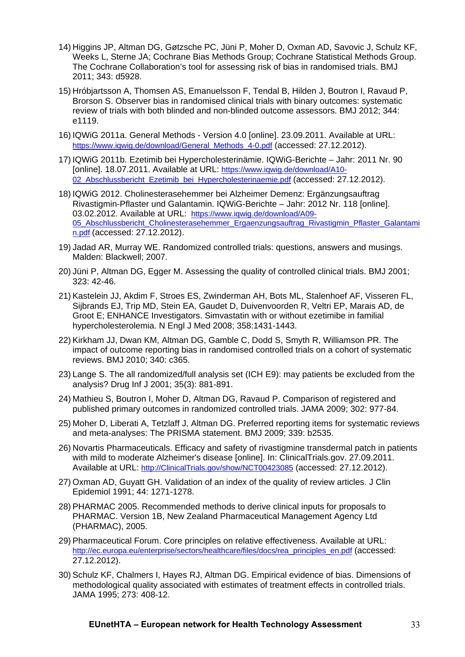- 14) Higgins JP, Altman DG, Gøtzsche PC, Jüni P, Moher D, Oxman AD, Savovic J, Schulz KF, Weeks L, Sterne JA; Cochrane Bias Methods Group; Cochrane Statistical Methods Group. The Cochrane Collaboration's tool for assessing risk of bias in randomised trials. BMJ 2011; 343: d5928.
- 15) Hróbjartsson A, Thomsen AS, Emanuelsson F, Tendal B, Hilden J, Boutron I, Ravaud P, Brorson S. Observer bias in randomised clinical trials with binary outcomes: systematic review of trials with both blinded and non-blinded outcome assessors. BMJ 2012; 344: e1119.
- 16) IQWiG 2011a. General Methods Version 4.0 [online]. 23.09.2011. Available at URL: [https://www.iqwig.de/download/General\\_Methods\\_4-0.pdf](https://www.iqwig.de/download/General_Methods_4-0.pdf) (accessed: 27.12.2012).
- 17) IQWiG 2011b. Ezetimib bei Hypercholesterinämie. IQWiG-Berichte Jahr: 2011 Nr. 90 [online]. 18.07.2011. Available at URL: [https://www.iqwig.de/download/A10-](https://www.iqwig.de/download/A10-02_Abschlussbericht_Ezetimib_bei_Hypercholesterinaemie.pdf) 02 Abschlussbericht Ezetimib bei Hypercholesterinaemie.pdf (accessed: 27.12.2012).
- 18) IQWiG 2012. Cholinesterasehemmer bei Alzheimer Demenz: Ergänzungsauftrag Rivastigmin-Pflaster und Galantamin. IQWiG-Berichte – Jahr: 2012 Nr. 118 [online]. 03.02.2012. Available at URL: [https://www.iqwig.de/download/A09-](https://www.iqwig.de/download/A09-05_Abschlussbericht_Cholinesterasehemmer_Ergaenzungsauftrag_Rivastigmin_Pflaster_Galantamin.pdf) [05\\_Abschlussbericht\\_Cholinesterasehemmer\\_Ergaenzungsauftrag\\_Rivastigmin\\_Pflaster\\_Galantami](https://www.iqwig.de/download/A09-05_Abschlussbericht_Cholinesterasehemmer_Ergaenzungsauftrag_Rivastigmin_Pflaster_Galantamin.pdf) [n.pdf](https://www.iqwig.de/download/A09-05_Abschlussbericht_Cholinesterasehemmer_Ergaenzungsauftrag_Rivastigmin_Pflaster_Galantamin.pdf) (accessed: 27.12.2012).
- 19) Jadad AR, Murray WE. Randomized controlled trials: questions, answers and musings. Malden: Blackwell; 2007.
- 20) Jüni P, Altman DG, Egger M. Assessing the quality of controlled clinical trials. BMJ 2001; 323: 42-46.
- 21) Kastelein JJ, Akdim F, Stroes ES, Zwinderman AH, Bots ML, Stalenhoef AF, Visseren FL, Sijbrands EJ, Trip MD, Stein EA, Gaudet D, Duivenvoorden R, Veltri EP, Marais AD, de Groot E; ENHANCE Investigators. Simvastatin with or without ezetimibe in familial hypercholesterolemia. N Engl J Med 2008; 358:1431-1443.
- 22) Kirkham JJ, Dwan KM, Altman DG, Gamble C, Dodd S, Smyth R, Williamson PR. The impact of outcome reporting bias in randomised controlled trials on a cohort of systematic reviews. BMJ 2010; 340: c365.
- 23) Lange S. The all randomized/full analysis set (ICH E9): may patients be excluded from the analysis? Drug Inf J 2001; 35(3): 881-891.
- 24) Mathieu S, Boutron I, Moher D, Altman DG, Ravaud P. Comparison of registered and published primary outcomes in randomized controlled trials. JAMA 2009; 302: 977-84.
- 25) Moher D, Liberati A, Tetzlaff J, Altman DG. Preferred reporting items for systematic reviews and meta-analyses: The PRISMA statement. BMJ 2009; 339: b2535.
- 26) Novartis Pharmaceuticals. Efficacy and safety of rivastigmine transdermal patch in patients with mild to moderate Alzheimer's disease [online]. In: ClinicalTrials.gov. 27.09.2011. Available at URL: [http://ClinicalTrials.gov/show/NCT00423085](http://clinicaltrials.gov/show/NCT00423085) (accessed: 27.12.2012).
- 27) Oxman AD, Guyatt GH. Validation of an index of the quality of review articles. J Clin Epidemiol 1991; 44: 1271-1278.
- 28) PHARMAC 2005. Recommended methods to derive clinical inputs for proposals to PHARMAC. Version 1B, New Zealand Pharmaceutical Management Agency Ltd (PHARMAC), 2005.
- 29) Pharmaceutical Forum. Core principles on relative effectiveness. Available at URL: [http://ec.europa.eu/enterprise/sectors/healthcare/files/docs/rea\\_principles\\_en.pdf](http://ec.europa.eu/enterprise/sectors/healthcare/files/docs/rea_principles_en.pdf) (accessed: 27.12.2012).
- 30) Schulz KF, Chalmers I, Hayes RJ, Altman DG. Empirical evidence of bias. Dimensions of methodological quality associated with estimates of treatment effects in controlled trials. JAMA 1995; 273: 408-12.